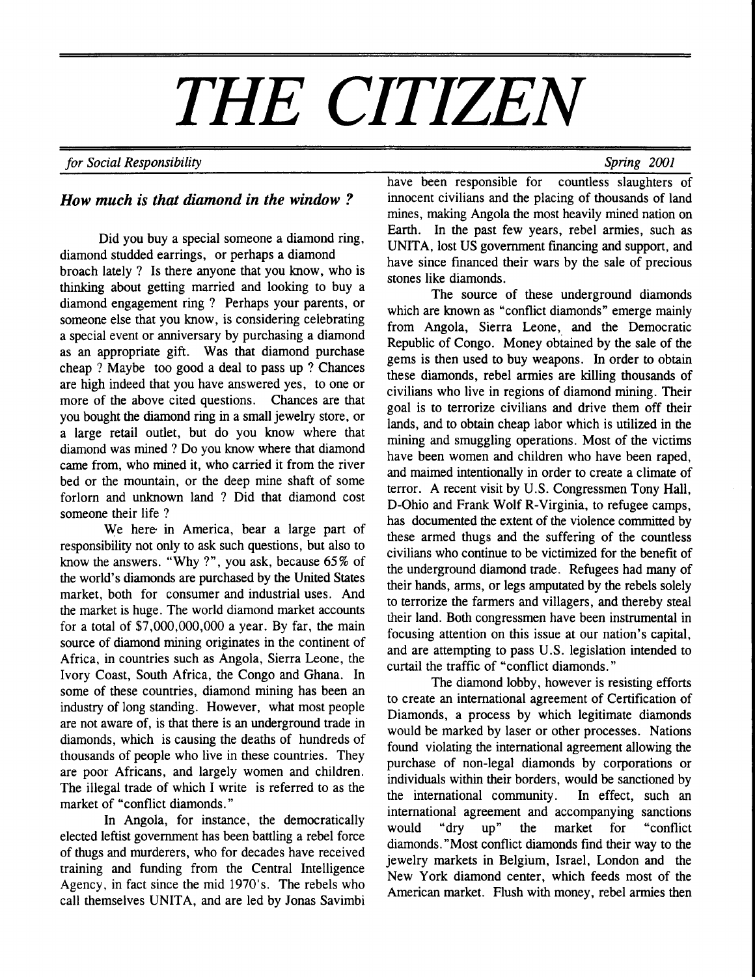# THE CITIZEN

## for Social Responsibility Spring 2001

## How much is that diamond in the window?

Did you buy a special someone a diamond ring, diamond studded earrings, or perhaps a diamond broach lately ? Is there anyone that you know, who is thinking about getting married and looking to buy a diamond engagement ring ? Perhaps your parents, or someone else that you know, is considering celebrating a special event or anniversary by purchasing a diamond as an appropriate gift. Was that diamond purchase cheap ? Maybe too good a deal to pass up ? Chances are high indeed that you have answered yes, to one or more of the above cited questions. Chances are that you bought the diamond ring in a small jewelry store, or a large retail outlet, but do you know where that diamond was mined ? Do you know where that diamond came from, who mined it, who carried it from the river bed or the mountain, or the deep mine shaft of some forlorn and unknown land ? Did that diamond cost someone their life ?

We here in America, bear a large part of responsibility not only to ask such questions, but also to know the answers. "Why ?", you ask, because 65% of the world's diamonds are purchased by the United States market, both for consumer and industrial uses. And the market is huge. The world diamond market accounts for a total of \$7,000,000,000 a year. By far, the main source of diamond mining originates in the continent of Africa, in countries such as Angola, Sierra Leone, the Ivory Coast, South Africa, the Congo and Ghana. In some of these countries, diamond mining has been an industry of long standing. However, what most people are not aware of, is that there is an underground trade in diamonds, which is causing the deaths of hundreds of thousands of people who live in these countries. They are poor Africans, and largely women and children. The illegal trade of which I write is referred to as the market of "conflict diamonds."

In Angola, for instance, the democratically elected leftist government has been battling a rebel force of thugs and murderers, who for decades have received training and funding from the Central Intelligence Agency, in fact since the mid 1970's. The rebels who call themselves UNITA, and are led by Jonas Savimbi have been responsible for countless slaughters of innocent civilians and the placing of thousands of land mines, making Angola the most heavily mined nation on Earth. In the past few years, rebel armies, such as UNITA, lost US government financing and support, and have since financed their wars by the sale of precious stones like diamonds.

The source of these underground diamonds which are known as "conflict diamonds" emerge mainly from Angola, Sierra Leone, and the Democratic Republic of Congo. Money obtained by the sale of the gems is then used to buy weapons. In order to obtain these diamonds, rebel armies are killing thousands of civilians who live in regions of diamond mining. Their goal is to terrorize civilians and drive them off their lands, and to obtain cheap labor which is utilized in the mining and smuggling operations. Most of the victims have been women and children who have been raped, and maimed intentionally in order to create a climate of terror. A recent visit by U.S. Congressmen Tony Hall, D-Ohio and Frank Wolf R-Virginia, to refugee camps, has documented the extent of the violence committed by these armed thugs and the suffering of the countless civilians who continue to be victimized for the benefit of the underground diamond trade. Refugees had many of their hands, arms, or legs amputated by the rebels solely to terrorize the farmers and villagers, and thereby steal their land. Both congressmen have been instrumental in focusing attention on this issue at our nation's capital, and are attempting to pass U.S. legislation intended to curtail the traffic of "conflict diamonds."

The diamond lobby, however is resisting efforts to create an international agreement of Certification of Diamonds, a process by which legitimate diamonds would be marked by laser or other processes. Nations found violating the intemational agreement allowing the purchase of non-legal diamonds by corporations or individuals within their borders, would be sanctioned by the international community. In effect, such an international agreement and accompanying sanctions would "dry up" the market for "conflict diamonds."Most conflict diamonds find their way to the jewelry markets in Belgium, Israel, London and the New York diamond center, which feeds most of the American market. Flush with money, rebel armies then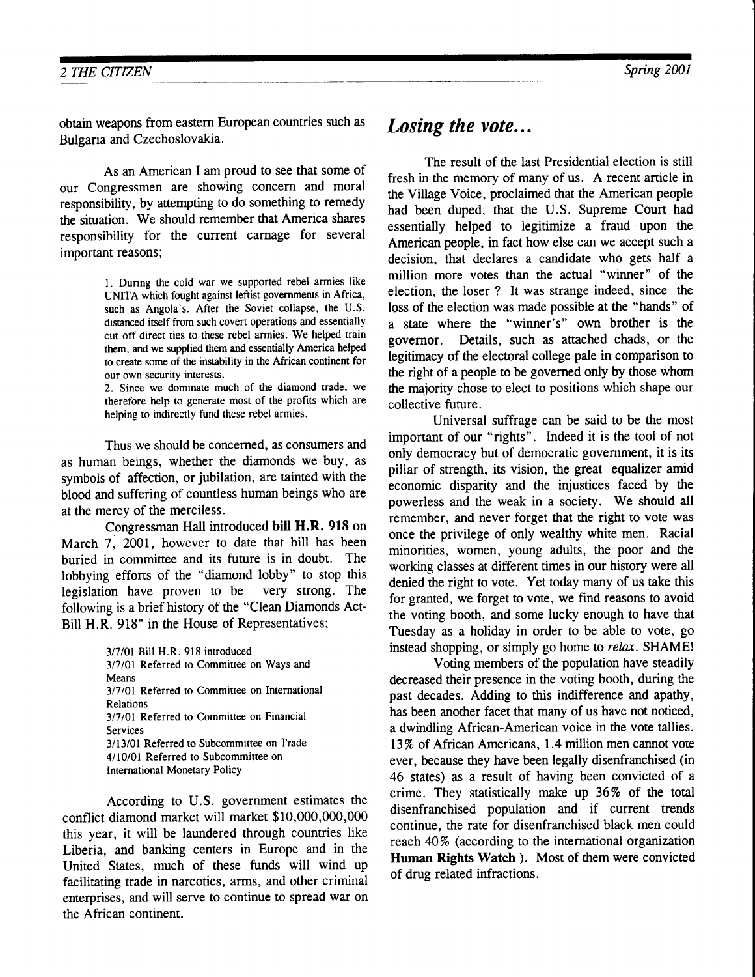obtain weapons from eastern European countries such as Bulgaria and Czechoslovakia.

As an American I am proud to see that some of our Congressmen are showing concern and moral responsibility, by attempting to do something to remedy the situation. We should remember that America shares responsibility for the current carnage for several important reasons;

> l. During the cold war we supported rebel armies like UNITA which fought against leftist governments in Africa, such as Angola's. After the Soviet collapse, the U.S. distanced itself from such covert operations and essentially cut off direct ties to these rebel armies. We helped train them, and we supplied them and essentially America helped to create some of the instabiliry in the African continent for our own security interests.

> 2. Since we dominate much of the diamond trade, we therefore help to generate most of the profits which are helping to indirectly fund these rebel armies.

Thus we should be concerned, as consumers and as human beings, whether the diamonds we buy, as symbols of affection, or jubilation, are tainted with the blood and suffering of countless human beings who are at the mercy of the merciless.

Congressman Hall introduced bill H.R. 918 on March 7, 2001, however to date that bill has been buried in committee and its future is in doubt. The lobbying efforts of the "diamond lobby" to stop this legislation have proven to be very strong. The following is a brief history of the "Clean Diamonds Act-Bill H.R. 918" in the House of Representatives;

> 3/7/01 Bill H.R. 918 introduced 3/7/01 Referred to Committee on Ways and Means 3/7/01 Referred to Committee on International Relations 3/7/01 Referred to Committee on Financial Services 3/13/01 Referred to Subcommittee on Trade 4/10/01 Referred to Subcommittee on International Monetary Policy

According to U.S. government estimates the conflict diamond market will market \$10,000,000,000 this year, it will be laundered through countries like Liberia, and banking centers in Europe and in the United States, much of these funds will wind up facilitating trade in narcotics, arms, and other criminal enterprises, and will serve to continue to spread war on the African continent.

# Losing the vote...

The result of the last Presidential election is still fresh in the memory of many of us. A recent article in the Village Voice, proclaimed that the American people had been duped, that the U.S. Supreme Court had essentially helped to legitimize a fraud upon the American people, in fact how else can we accept such a decision, that declares a candidate who gets half a million more votes than the actual "winner" of the election, the loser ? It was strange indeed, since the loss of the election was made possible at the "hands" of a state where the "winner's" own brother is the governor. Details, such as attached chads, or the legitimacy of the electoral college pale in comparison to the right of a people to be governed only by those whom the majority chose to elect to positions which shape our collective future.

Universal suffrage can be said to be the most important of our "rights". Indeed it is the tool of not only democracy but of democratic government, it is its pillar of strength, its vision, the great equalizer amid economic disparity and the injustices faced by the powerless and the weak in a society. We should all remember, and never forget that the right to vote was once the privilege of only wealthy white men. Racial minorities, women, young adults, the poor and the working classes at different times in our history were all denied the right to vote. Yet today many of us take this for granted, we forget to vote, we find reasons to avoid the voting booth, and some lucky enough to have that Tuesday as a holiday in order to be able to vote, go instead shopping, or simply go home to relax. SHAME!

Voting members of the population have steadily decreased their presence in the voting booth, during the past decades. Adding to this indifference and apathy, has been another facet that many of us have not noticed, a dwindling African-American voice in the vote tallies. 1,3% of African Americans, 1.4 million men cannot vote ever, because they have been legally disenfranchised (in 46 states) as a result of having been convicted of a crime. They statistically make up 36% of the total disenfranchised population and if current trends continue, the rate for disenfranchised black men could reach 40% (according to the international organization Human Rights Watch ). Most of them were convicted of drug related infractions.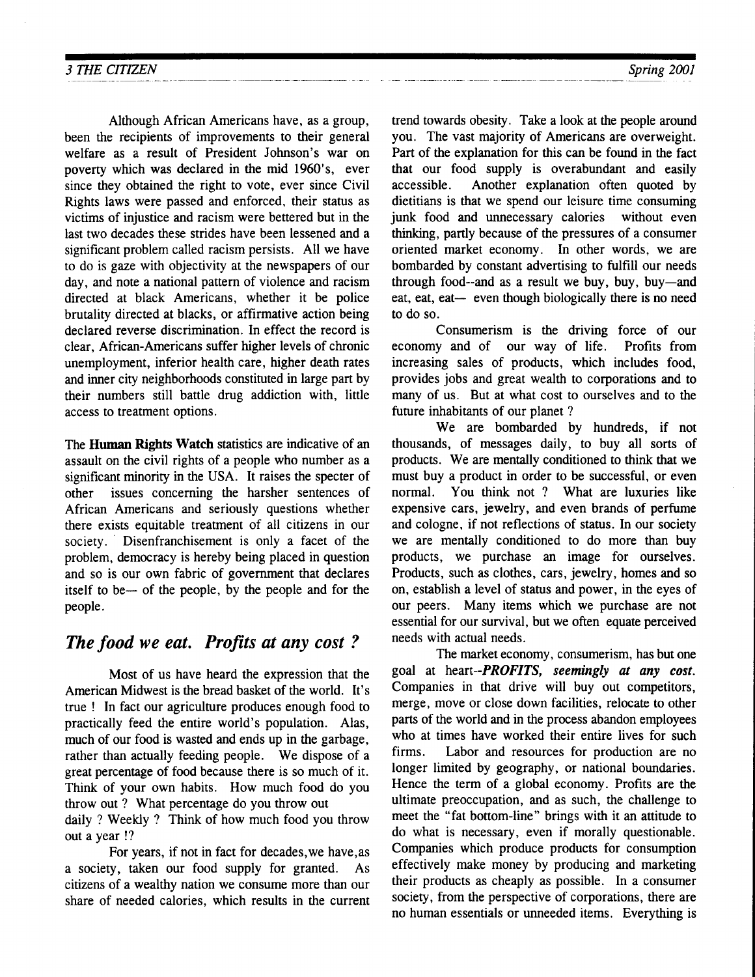Although African Americans have, as a group, been the recipients of improvements to their general welfare as a result of President Johnson's war on poverty which was declared in the mid 1960's, ever since they obtained the right to vote, ever since Civil Rights laws were passed and enforced, their status as victims of injustice and racism were bettered but in the last two decades these strides have been lessened and a significant problem called racism persists. All we have to do is gaze with objectivity at the newspapers of our day, and note a national pattern of violence and racism directed at black Americans, whether it be police brutality directed at blacks, or affirmative action being declared reverse discrimination. In effect the record is clear, African-Americans suffer higher levels of chronic unemployment, inferior health care, higher death rates and inner city neighborhoods constituted in large part by their numbers still battle drug addiction with, little access to treatment options.

The Human Rights Watch statistics are indicative of an assault on the civil rights of a people who number as a significant minority in the USA. It raises the specter of other issues concerning the harsher sentences of African Americans and seriously questions whether there exists equitable treatment of all citizens in our society. ' Disenfranchisement is only a facet of the problem, democracy is hereby being placed in question and so is our own fabric of government that declares itself to be— of the people, by the people and for the people.

# The food we eat. Profits at any cost ?

Most of us have heard the expression that the American Midwest is the bread basket of the world. It's true ! In fact our agriculture produces enough food to practically feed the entire world's population. Alas, much of our food is wasted and ends up in the garbage, rather than actually feeding people. We dispose of a great percentage of food because there is so much of it. Think of your own habits. How much food do you throw out ? What percentage do you throw out

daily ? Weekly ? Think of how much food you throw out a year !?

For years, if not in fact for decades, we have, as a society, taken our food supply for granted. As citizens of a wealthy nation we consume more than our share of needed calories, which results in the current trend towards obesiry. Take a look at the people around you. The vast majority of Americans are overweight. Part of the explanation for this can be found in the fact that our food supply is overabundant and easily accessible. Another explanation often quoted by dietitians is that we spend our leisure time consuming junk food and unnecessary calories without even thinking, partly because of the pressures of a consumer oriented market economy. In other words, we are bombarded by constant advertising to fulfill our needs through food--and as a result we buy, buy, buy-and eat, eat, eat— even though biologically there is no need to do so.

Consumerism is the driving force of our economy and of our way of life. Profits from increasing sales of products, which includes food, provides jobs and great wealth to corporations and to many of us. But at what cost to ourselves and to the future inhabitants of our planet ?

We are bombarded by hundreds, if not thousands, of messages daily, to buy all sorts of products. We are mentally conditioned to think that we must buy a product in order to be successful, or even normal. You think not ? What are luxuries like expensive cars, jewelry, and even brands of perfume and cologne, if not reflections of status. In our society we are mentally conditioned to do more than buy products, we purchase an image for ourselves. Products, such as clothes, cars, jewelry, homes and so on, establish a level of status and power, in the eyes of our peers. Many items which we purchase are not essential for our survival, but we often equate perceived needs with acrual needs.

The market economy, consumerism, has but one goal at heart--PROFITS, seemingly at any cost. Companies in that drive will buy out competitors, merge, move or close down facilities, relocate to other parts of the world and in the process abandon employees who at times have worked their entire lives for such firms. Labor and resources for production are no longer limited by geography, or national boundaries. Hence the term of a global economy. Profits are the ultimate preoccupation, and as such, the challenge to meet the "fat bottom-line" brings with it an attitude to do what is necessary, even if morally questionable. Companies which produce products for consumption effectively make money by producing and marketing their products as cheaply as possible. In a consumer society, from the perspective of corporations, there are no human essentials or unneeded items. Everything is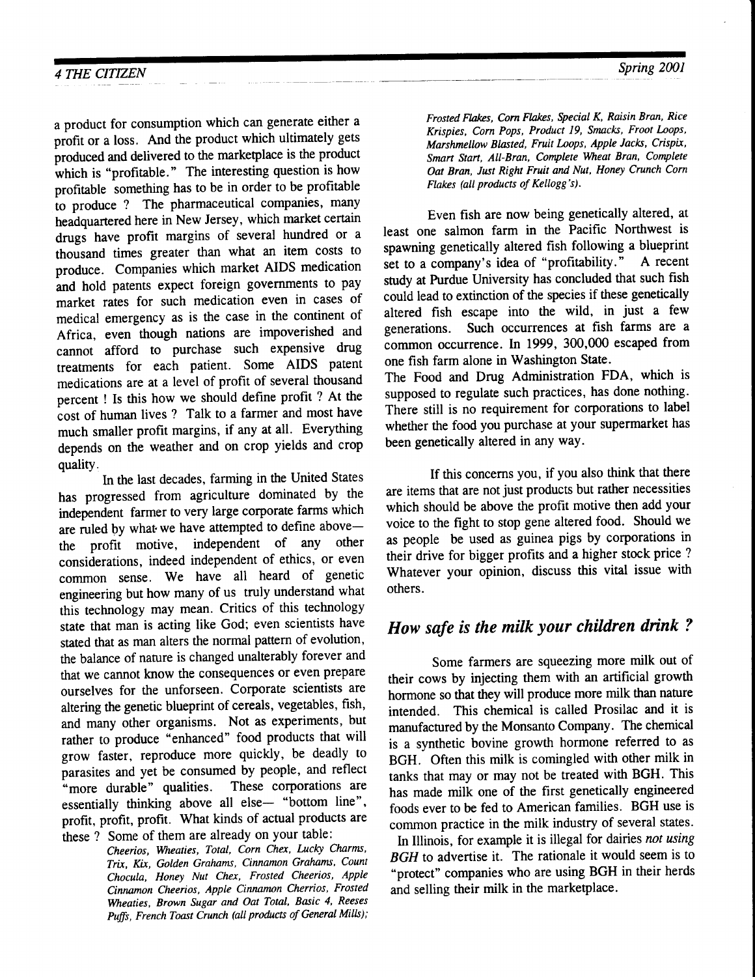a product for consumption which can generate either a profit or a loss. And the product which ultimately gets produced and delivered to the marketplace is the product which is "profitable." The interesting question is how profitable something has to be in order to be profitable to produce ? The pharmaceutical companies, many headquartered here in New Jersey, which market certain drugs have profit margins of several hundred or a thousand times greater than what an item costs to produce. Companies which market AIDS medication and hold patents expect foreign governments to pay market rates for such medication even in cases of medical emergency as is the case in the continent of Africa, even though nations are impoverished and cannot afford to purchase such expensive drug treatments for each patient. Some AIDS patent medications are at a level of profit of several thousand percent ! Is this how we should define profit ? At the cost of human lives ? Talk to a farmer and most have much smaller profit margins, if any at all. Everything depends on the weather and on crop yields and crop quality.

In the last decades, farming in the United States has progressed from agriculture dominated by the independent farmer to very large corporate farms which are ruled by what we have attempted to define abovethe profit motive, independent of any other considerations, indeed independent of ethics, or even common sense. We have all heard of genetic engineering but how many of us truly understand what this technology may mean. Critics of this technology state that man is acting like God; even scientists have stated that as man alters the normal pattern of evolution, the balance of nature is changed unalterably forever and that we cannot know the consequences or even prepare ourselves for the unforseen. Corporate scientists are altering the genetic blueprint of cereals, vegetables, fish, and many other organisms. Not as experiments, but rather to produce "enhanced" food products that will grow faster, reproduce more quickly, be deadly to parasites and yet be consumed by people, and reflect "more durable" qualities. These corporations are "more durable" qualities. essentially thinking above all else- "bottom line", profit, profit, profit. What kinds of actual products are these ? Some of them are already on your table:

Cheerios, Wheaties, Total, Corn Chex, Lucky Charms, Trix, Kix, Golden Grahams, Cinnamon Grahams, Count Chocula, Honey Nut Chex, Frosted Cheerios, Apple Cinnamon Cheerios, Apple Cinnamon Cherrios, Frosted Weaties, Brown Sugar and Oat Total, Basic 4, Reeses Puffs, French Toast Crunch (all products of General Mills); Frosted Flaks, Corn Flaks, Special K, Raisin Bran, Rice Krispies, Corn Pops, Product 19, Smacks, Froot Loops, Marshmellow Blasted, Fruit Loops, Apple Jacks, Crispix, Smart Start, All-Bran, Complete Wheat Bran, Complete Oat Bran, Just Right Fruit and Nut, Honey Crunch Corn Flakes (all products of Kellogg's).

Even fish are now being genetically altered, at least one salmon farm in the Pacific Northwest is spawning genetically altered fish following a blueprint<br>set to a company's idea of "profitability." A recent set to a company's idea of "profitability." study at Purdue University has concluded that such fish could lead to extinction of the species if these genetically altered fish escape into the wild, in just a few generations. Such occurrences at fish farms are a common occurrence. In 1999, 300,000 escaped from one fish farm alone in Washington State.

The Food and Drug Administration FDA, which is supposed to regulate such practices, has done nothing. There still is no requirement for corporations to label whether the food you purchase at your supermarket has been genetically altered in any way.

If this concerns you, if you also think that there are items that are not just products but rather necessities which should be above the profit motive then add your voice to the fight to stop gene altered food. Should we as people be used as guinea pigs by corporations in their drive for bigger profits and a higher stock price ? Whatever your opinion, discuss this vital issue with others.

# How safe is the milk your children drink ?

Some farmers are squeezing more milk out of their cows by injecting them with an artificial growth hormone so that they will produce more milk than nature intended. This chemical is called Prosilac and it is manufactured by the Monsanto Company. The chemical is a synthetic bovine growth hormone referred to as BGH. Often this milk is comingled with other milk in tanks that may or may not be treated with BGH. This has made milk one of the first genetically engineered foods ever to be fed to American families. BGH use is common practice in the milk industry of several states.

In Illinois, for example it is illegal for dairies not using BGH to advertise it. The rationale it would seem is to "protect" companies who are using BGH in their herds and selling their milk in the marketplace.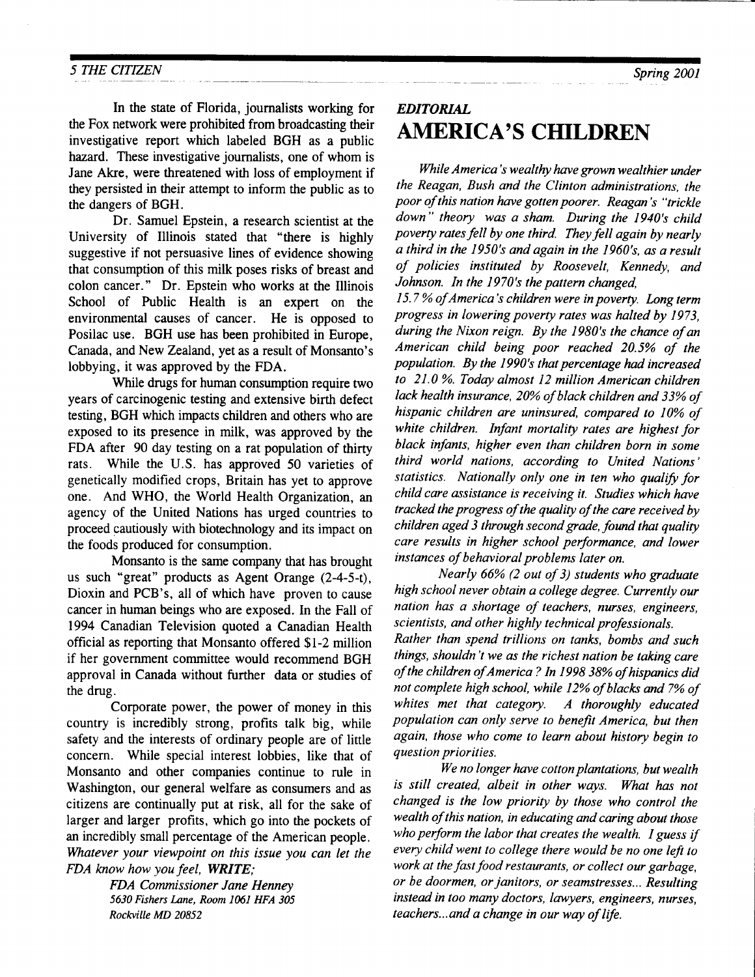In the state of Florida, journalists working for the Fox network were prohibited from broadcasting their investigative report which labeled BGH as a public hazard. These investigative journalists, one of whom is Jane Akre, were threatened with loss of employment if they persisted in their attempt to inform the public as to the dangers of BGH.

Dr. Samuel Epstein, a research scientist at the University of tllinois stated that "there is highly suggestive if not persuasive lines of evidence showing that consumption of this milk poses risks of breast and colon cancer." Dr. Epstein who works at the Illinois School of Public Health is an expert on the environmental causes of cancer. He is opposed to Posilac use. BGH use has been prohibited in Europe, Canada, and New Zealand, yet as a result of Monsanto's lobbying, it was approved by the FDA.

While drugs for human consumption require two years of carcinogenic testing and extensive birth defect testing, BGH which impacts children and others who are exposed to its presence in milk, was approved by the FDA after 90 day testing on a rat population of thirty rats. While the U.S. has approved 50 varieties of genetically modified crops, Britain has yet to approve one. And WHO, the World Health Organization, an agency of the United Nations has urged countries to proceed cautiously with biotechnology and its impact on the foods produced for consumption.

Monsanto is the same company that has brought us such "great" products as Agent Orange (2-4-5-t), Dioxin and PCB's, all of which have proven to cause cancer in human beings who are exposed. In the Fall of 1994 Canadian Television quoted a Canadian Health official as reporting that Monsanto offered \$1-2 million if her government committee would recommend BGH approval in Canada without further data or studies of the drug.

Corporate power, the power of money in this country is incredibly strong, profits talk big, while safety and the interests of ordinary people are of little concern. While special interest lobbies, like that of Monsanto and other companies continue to rule in Washington, our general welfare as consumers and as citizens are continually put at risk, all for the sake of larger and larger profits, which go into the pockets of an incredibly small percentage of the American people. Whatever your viewpoint on this issue you can let the FDA know how you feel, WRITE;

> FDA Commissioner Jane Henney 5630 Fishers Lane, Room 1061 HFA 305 Rockville MD 20852

# EDITORIAL AMERICA'S CHILDREN

While America's wealthy have grown wealthier under the Reagan, Bush and the Clinton administrations, the poor of this nation have gotten poorer. Reagan's "trickle down" theory was a sham. During the 1940's child poverty rates fell by one third. They fell again by nearly a third in the 1950's and ogain in the 1960's, as a result of policies instituted by Roosevelt, Kennedy, and Johnson. In the 1970's the pattern changed,

I5.7 % of America's children were in poverty. Long term progress in lowering poverty rates was halted by 1973, during the Nixon reign. By the 1980's the chance of an American child being poor reached 20.5% of the population. By the 1990's that percentage had increased to 21.0 %. Today almost 12 million American children lack health insurance, 20% of black children and 33% of hispanic children are uninsured, compared to I0% of white children. Infant mortality rates are highest for black infants, higher even than children born in some third world nations, according to United Nations' statistics. Nationally only one in ten who qualify for child care assistance is receiving it. Studies which have tracked the progress of the quality of the care received by children aged 3 through second grade, found that quality care results in higher school performance, and lower instances of behavioral problems later on.

Nearly 66% (2 out of 3) students who graduate high school never obtain a college degree. Currently our nation has a shortage of leachers, nurses, engineers, scientists, and other highly technical professionals.

Rather than spend trillions on tanks, bombs and such things, shouldn't we as the richest nation be taking care of the children of America ? In 1998 38% of hispanics did not complete high school, while 12% of blacks and 7% of whites met that category. A thoroughly educated population can only serve to benefit America, but then again, those who come to learn about history begin to question priorities.

We no longer have cotton plantations, but wealth is still created, albeit in other ways. What has not changed is the low priority by those who control the wealth of this nation, in educating and caring about those who perform the labor that creates the wealth. I guess if every child went to college there would be no one left to work at the fast food restaurants, or collect our garbage, or be doormen, or janitors, or seamstresses... Resulting instead in too many doctors, Iawyers, engineers, nurses, teachers...and a change in our way of life.